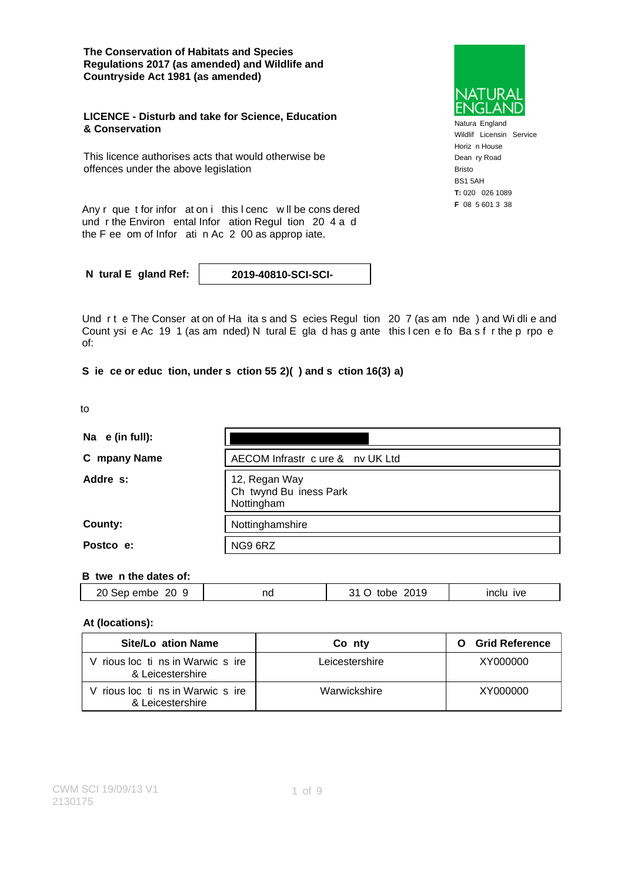**The Conservation of Habitats and Species Regulations 2017 (as amended) and Wildlife and Countryside Act 1981 (as amended)**

#### **LICENCE - Disturb and take for Science, Education & Conservation**

This licence authorises acts that would otherwise be offences under the above legislation

Any r que t for infor at on i this I cenc w II be cons dered F 08 5 601 3 38 und r the Environ ental Infor ation Regul tion 20 4 a d the F ee om of Infor ati n Ac 2 00 as approp iate.

**N tural E gland Ref: 2019-40810-SCI-SCI-**

Und rt e The Conser at on of Ha ita s and S ecies Regul tion 20 7 (as am nde) and Wi dli e and Count ysi e Ac 19 1 (as am nded) N tural E gla d has g ante this I cen e fo Ba s f r the p rpo e of:

### **S ie ce or educ tion, under s ction 55 2)( ) and s ction 16(3) a)**

| ٠<br>$ -$ | ۰.<br>۰. |  |
|-----------|----------|--|
|           |          |  |

| Na $e$ (in full): |                                                       |
|-------------------|-------------------------------------------------------|
| C mpany Name      | AECOM Infrastr c ure & nv UK Ltd                      |
| Addre s:          | 12, Regan Way<br>Ch twynd Bu iness Park<br>Nottingham |
| County:           | Nottinghamshire                                       |
| Postco e:         | NG9 6RZ                                               |

#### **B twe n the dates of:**

|  | $20$ Sep<br>20<br>embe | na | 2019<br>วา<br>ີ<br>∼ | <b>IVe</b> |
|--|------------------------|----|----------------------|------------|
|--|------------------------|----|----------------------|------------|

## **At (locations):**

| Site/Lo ation Name                                  | Co nty         | <b>Grid Reference</b><br>О |
|-----------------------------------------------------|----------------|----------------------------|
| rious loc ti ns in Warwic s ire<br>& Leicestershire | Leicestershire | XY000000                   |
| rious loc ti ns in Warwic s ire<br>& Leicestershire | Warwickshire   | XY000000                   |



Natura England Wildlif Licensin Service Horiz n House Dean ry Road Bristo BS1 5AH **T:** 020 026 1089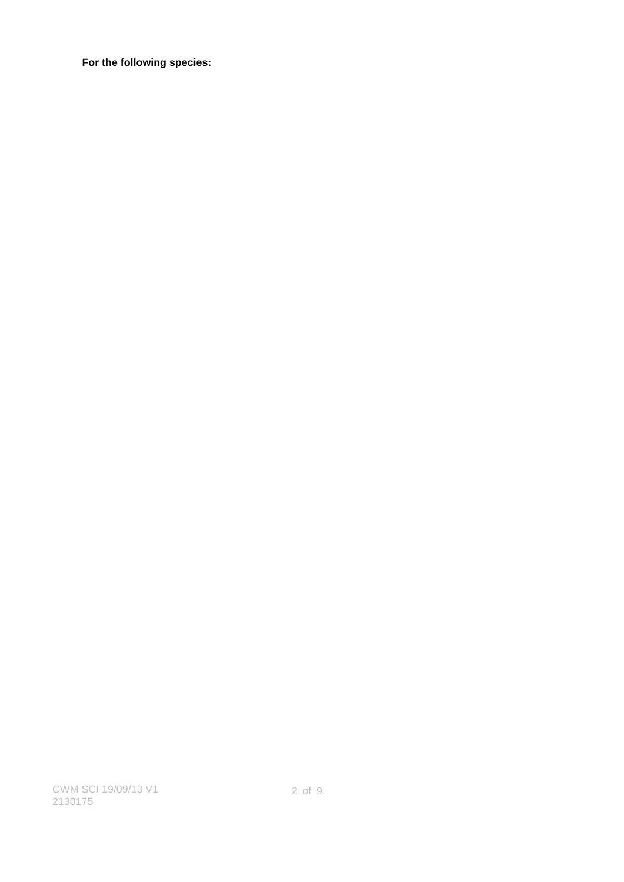**For the following species:**

CWM SCI 19/09/13 V1 2130175

2 of 9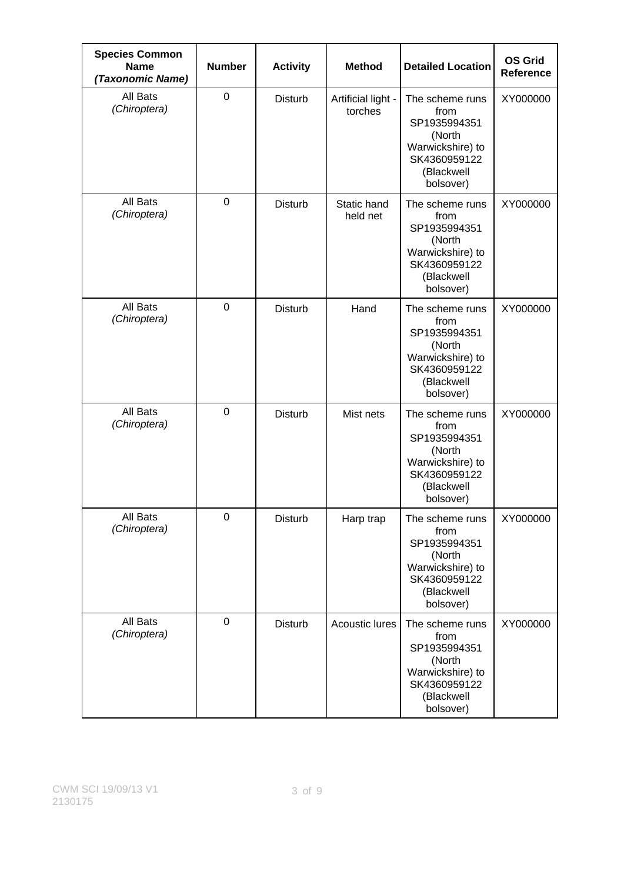| <b>Species Common</b><br><b>Name</b><br>(Taxonomic Name) | <b>Number</b> | <b>Activity</b> | <b>Method</b>                 | <b>Detailed Location</b>                                                                                         | <b>OS Grid</b><br><b>Reference</b> |
|----------------------------------------------------------|---------------|-----------------|-------------------------------|------------------------------------------------------------------------------------------------------------------|------------------------------------|
| All Bats<br>(Chiroptera)                                 | $\mathbf 0$   | <b>Disturb</b>  | Artificial light -<br>torches | The scheme runs<br>from<br>SP1935994351<br>(North<br>Warwickshire) to<br>SK4360959122<br>(Blackwell<br>bolsover) | XY000000                           |
| All Bats<br>(Chiroptera)                                 | $\mathbf 0$   | <b>Disturb</b>  | Static hand<br>held net       | The scheme runs<br>from<br>SP1935994351<br>(North<br>Warwickshire) to<br>SK4360959122<br>(Blackwell<br>bolsover) | XY000000                           |
| All Bats<br>(Chiroptera)                                 | $\mathbf 0$   | <b>Disturb</b>  | Hand                          | The scheme runs<br>from<br>SP1935994351<br>(North<br>Warwickshire) to<br>SK4360959122<br>(Blackwell<br>bolsover) | XY000000                           |
| All Bats<br>(Chiroptera)                                 | $\mathbf 0$   | <b>Disturb</b>  | Mist nets                     | The scheme runs<br>from<br>SP1935994351<br>(North<br>Warwickshire) to<br>SK4360959122<br>(Blackwell<br>bolsover) | XY000000                           |
| All Bats<br>(Chiroptera)                                 | $\mathbf 0$   | <b>Disturb</b>  | Harp trap                     | The scheme runs<br>from<br>SP1935994351<br>(North<br>Warwickshire) to<br>SK4360959122<br>(Blackwell<br>bolsover) | XY000000                           |
| All Bats<br>(Chiroptera)                                 | $\mathbf 0$   | Disturb         | <b>Acoustic lures</b>         | The scheme runs<br>from<br>SP1935994351<br>(North<br>Warwickshire) to<br>SK4360959122<br>(Blackwell<br>bolsover) | XY000000                           |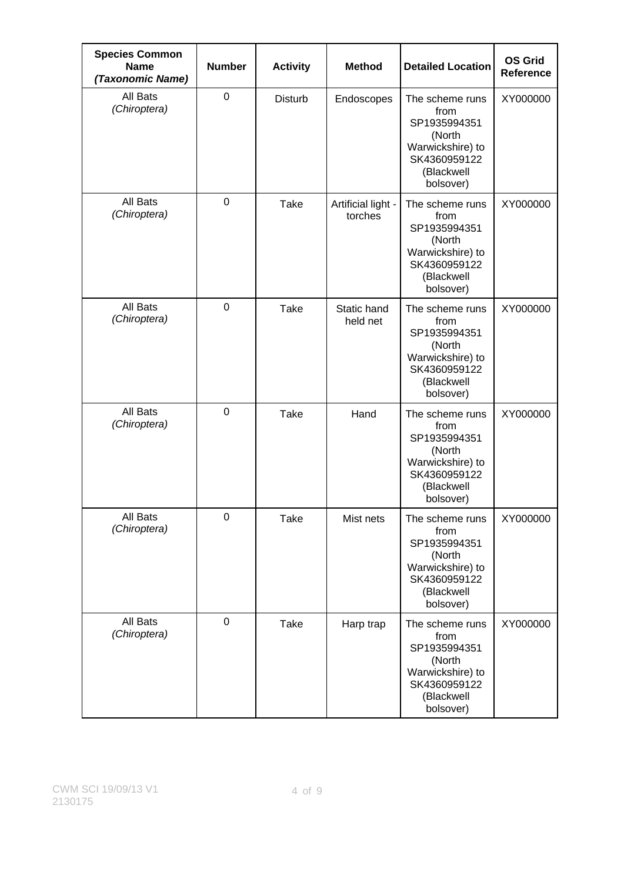| <b>Species Common</b><br><b>Name</b><br>(Taxonomic Name) | <b>Number</b> | <b>Activity</b> | <b>Method</b>                 | <b>Detailed Location</b>                                                                                         | <b>OS Grid</b><br><b>Reference</b> |
|----------------------------------------------------------|---------------|-----------------|-------------------------------|------------------------------------------------------------------------------------------------------------------|------------------------------------|
| All Bats<br>(Chiroptera)                                 | $\mathbf 0$   | <b>Disturb</b>  | Endoscopes                    | The scheme runs<br>from<br>SP1935994351<br>(North<br>Warwickshire) to<br>SK4360959122<br>(Blackwell<br>bolsover) | XY000000                           |
| All Bats<br>(Chiroptera)                                 | $\mathbf 0$   | <b>Take</b>     | Artificial light -<br>torches | The scheme runs<br>from<br>SP1935994351<br>(North<br>Warwickshire) to<br>SK4360959122<br>(Blackwell<br>bolsover) | XY000000                           |
| All Bats<br>(Chiroptera)                                 | $\mathbf 0$   | <b>Take</b>     | Static hand<br>held net       | The scheme runs<br>from<br>SP1935994351<br>(North<br>Warwickshire) to<br>SK4360959122<br>(Blackwell<br>bolsover) | XY000000                           |
| All Bats<br>(Chiroptera)                                 | $\mathbf 0$   | <b>Take</b>     | Hand                          | The scheme runs<br>from<br>SP1935994351<br>(North<br>Warwickshire) to<br>SK4360959122<br>(Blackwell<br>bolsover) | XY000000                           |
| All Bats<br>(Chiroptera)                                 | $\mathbf 0$   | <b>Take</b>     | Mist nets                     | The scheme runs<br>from<br>SP1935994351<br>(North<br>Warwickshire) to<br>SK4360959122<br>(Blackwell<br>bolsover) | XY000000                           |
| All Bats<br>(Chiroptera)                                 | $\mathbf 0$   | Take            | Harp trap                     | The scheme runs<br>from<br>SP1935994351<br>(North<br>Warwickshire) to<br>SK4360959122<br>(Blackwell<br>bolsover) | XY000000                           |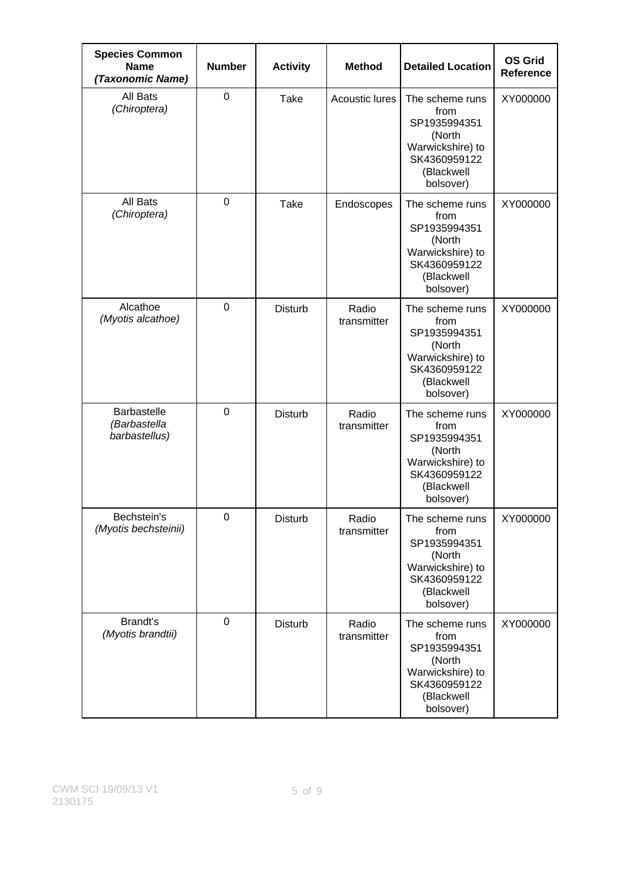| <b>Species Common</b><br><b>Name</b><br>(Taxonomic Name) | <b>Number</b>  | <b>Activity</b> | <b>Method</b>         | <b>Detailed Location</b>                                                                                         | <b>OS Grid</b><br><b>Reference</b> |
|----------------------------------------------------------|----------------|-----------------|-----------------------|------------------------------------------------------------------------------------------------------------------|------------------------------------|
| All Bats<br>(Chiroptera)                                 | $\mathbf 0$    | <b>Take</b>     | <b>Acoustic lures</b> | The scheme runs<br>from<br>SP1935994351<br>(North<br>Warwickshire) to<br>SK4360959122<br>(Blackwell<br>bolsover) | XY000000                           |
| All Bats<br>(Chiroptera)                                 | $\mathbf 0$    | <b>Take</b>     | Endoscopes            | The scheme runs<br>from<br>SP1935994351<br>(North<br>Warwickshire) to<br>SK4360959122<br>(Blackwell<br>bolsover) | XY000000                           |
| Alcathoe<br>(Myotis alcathoe)                            | $\mathbf 0$    | <b>Disturb</b>  | Radio<br>transmitter  | The scheme runs<br>from<br>SP1935994351<br>(North<br>Warwickshire) to<br>SK4360959122<br>(Blackwell<br>bolsover) | XY000000                           |
| <b>Barbastelle</b><br>(Barbastella<br>barbastellus)      | $\overline{0}$ | <b>Disturb</b>  | Radio<br>transmitter  | The scheme runs<br>from<br>SP1935994351<br>(North<br>Warwickshire) to<br>SK4360959122<br>(Blackwell<br>bolsover) | XY000000                           |
| Bechstein's<br>(Myotis bechsteinii)                      | 0              | <b>Disturb</b>  | Radio<br>transmitter  | The scheme runs<br>from<br>SP1935994351<br>(North<br>Warwickshire) to<br>SK4360959122<br>(Blackwell<br>bolsover) | XY000000                           |
| <b>Brandt's</b><br>(Myotis brandtii)                     | $\mathbf 0$    | <b>Disturb</b>  | Radio<br>transmitter  | The scheme runs<br>from<br>SP1935994351<br>(North<br>Warwickshire) to<br>SK4360959122<br>(Blackwell<br>bolsover) | XY000000                           |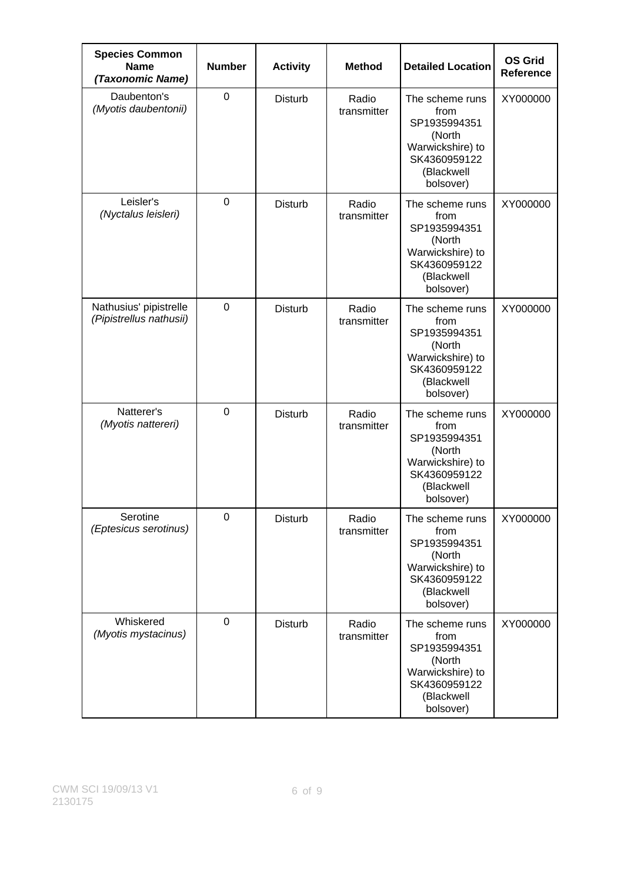| <b>Species Common</b><br><b>Name</b><br>(Taxonomic Name) | <b>Number</b>  | <b>Activity</b> | <b>Method</b>        | <b>Detailed Location</b>                                                                                         | <b>OS Grid</b><br><b>Reference</b> |
|----------------------------------------------------------|----------------|-----------------|----------------------|------------------------------------------------------------------------------------------------------------------|------------------------------------|
| Daubenton's<br>(Myotis daubentonii)                      | $\overline{0}$ | <b>Disturb</b>  | Radio<br>transmitter | The scheme runs<br>from<br>SP1935994351<br>(North<br>Warwickshire) to<br>SK4360959122<br>(Blackwell<br>bolsover) | XY000000                           |
| Leisler's<br>(Nyctalus leisleri)                         | $\mathbf 0$    | Disturb         | Radio<br>transmitter | The scheme runs<br>from<br>SP1935994351<br>(North<br>Warwickshire) to<br>SK4360959122<br>(Blackwell<br>bolsover) | XY000000                           |
| Nathusius' pipistrelle<br>(Pipistrellus nathusii)        | $\mathbf 0$    | Disturb         | Radio<br>transmitter | The scheme runs<br>from<br>SP1935994351<br>(North<br>Warwickshire) to<br>SK4360959122<br>(Blackwell<br>bolsover) | XY000000                           |
| Natterer's<br>(Myotis nattereri)                         | $\mathbf 0$    | Disturb         | Radio<br>transmitter | The scheme runs<br>from<br>SP1935994351<br>(North<br>Warwickshire) to<br>SK4360959122<br>(Blackwell<br>bolsover) | XY000000                           |
| Serotine<br>(Eptesicus serotinus)                        | $\mathbf 0$    | <b>Disturb</b>  | Radio<br>transmitter | The scheme runs<br>from<br>SP1935994351<br>(North<br>Warwickshire) to<br>SK4360959122<br>(Blackwell<br>bolsover) | XY000000                           |
| Whiskered<br>(Myotis mystacinus)                         | $\mathbf 0$    | <b>Disturb</b>  | Radio<br>transmitter | The scheme runs<br>from<br>SP1935994351<br>(North<br>Warwickshire) to<br>SK4360959122<br>(Blackwell<br>bolsover) | XY000000                           |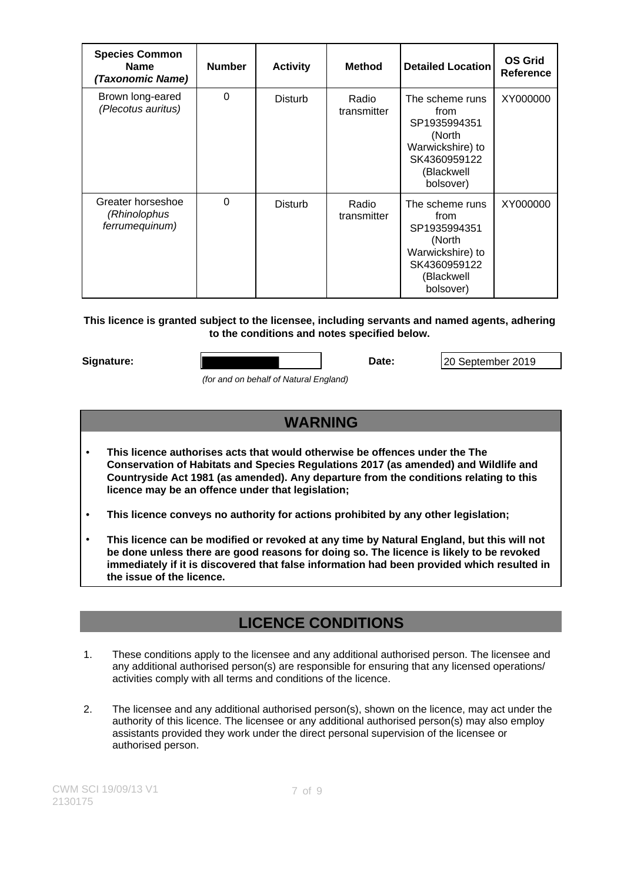| <b>Species Common</b><br><b>Name</b><br>(Taxonomic Name) | <b>Number</b> | <b>Activity</b> | <b>Method</b>        | <b>Detailed Location</b>                                                                                         | <b>OS Grid</b><br><b>Reference</b> |
|----------------------------------------------------------|---------------|-----------------|----------------------|------------------------------------------------------------------------------------------------------------------|------------------------------------|
| Brown long-eared<br>(Plecotus auritus)                   | $\Omega$      | Disturb         | Radio<br>transmitter | The scheme runs<br>from<br>SP1935994351<br>(North<br>Warwickshire) to<br>SK4360959122<br>(Blackwell<br>bolsover) | XY000000                           |
| Greater horseshoe<br>(Rhinolophus<br>ferrumequinum)      | 0             | Disturb         | Radio<br>transmitter | The scheme runs<br>from<br>SP1935994351<br>(North<br>Warwickshire) to<br>SK4360959122<br>(Blackwell<br>bolsover) | XY000000                           |

## **This licence is granted subject to the licensee, including servants and named agents, adhering to the conditions and notes specified below.**

**Signature: Date:** 20 September 2019

(for and on behalf of Natural England)

# **WARNING**

• **This licence authorises acts that would otherwise be offences under the The Conservation of Habitats and Species Regulations 2017 (as amended) and Wildlife and Countryside Act 1981 (as amended). Any departure from the conditions relating to this licence may be an offence under that legislation;**

• **This licence conveys no authority for actions prohibited by any other legislation;**

• **This licence can be modified or revoked at any time by Natural England, but this will not be done unless there are good reasons for doing so. The licence is likely to be revoked immediately if it is discovered that false information had been provided which resulted in the issue of the licence.**

# **LICENCE CONDITIONS**

- 1. These conditions apply to the licensee and any additional authorised person. The licensee and any additional authorised person(s) are responsible for ensuring that any licensed operations/ activities comply with all terms and conditions of the licence.
- 2. The licensee and any additional authorised person(s), shown on the licence, may act under the authority of this licence. The licensee or any additional authorised person(s) may also employ assistants provided they work under the direct personal supervision of the licensee or authorised person.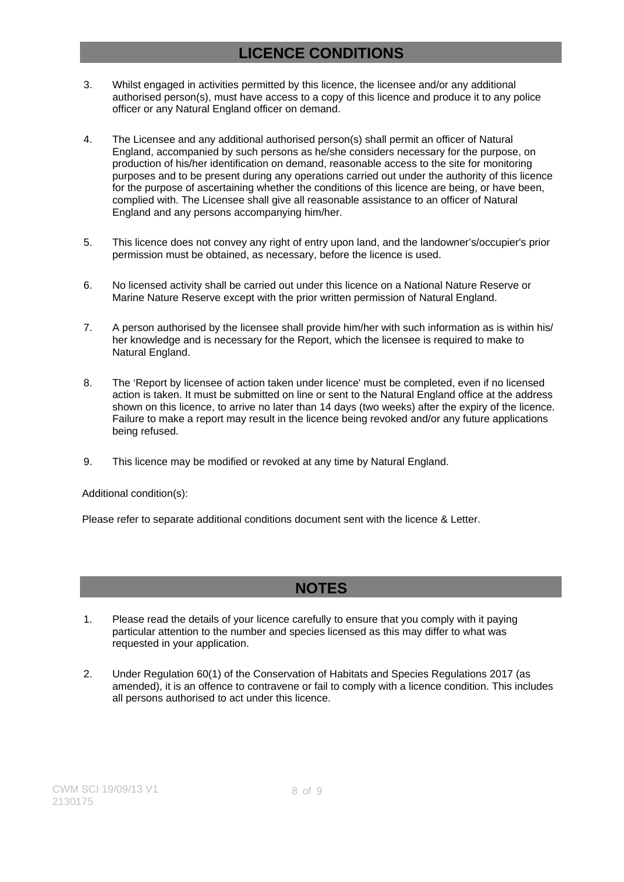# **LICENCE CONDITIONS**

- 3. Whilst engaged in activities permitted by this licence, the licensee and/or any additional authorised person(s), must have access to a copy of this licence and produce it to any police officer or any Natural England officer on demand.
- 4. The Licensee and any additional authorised person(s) shall permit an officer of Natural England, accompanied by such persons as he/she considers necessary for the purpose, on production of his/her identification on demand, reasonable access to the site for monitoring purposes and to be present during any operations carried out under the authority of this licence for the purpose of ascertaining whether the conditions of this licence are being, or have been, complied with. The Licensee shall give all reasonable assistance to an officer of Natural England and any persons accompanying him/her.
- 5. This licence does not convey any right of entry upon land, and the landowner's/occupier's prior permission must be obtained, as necessary, before the licence is used.
- 6. No licensed activity shall be carried out under this licence on a National Nature Reserve or Marine Nature Reserve except with the prior written permission of Natural England.
- 7. A person authorised by the licensee shall provide him/her with such information as is within his/ her knowledge and is necessary for the Report, which the licensee is required to make to Natural England.
- 8. The 'Report by licensee of action taken under licence' must be completed, even if no licensed action is taken. It must be submitted on line or sent to the Natural England office at the address shown on this licence, to arrive no later than 14 days (two weeks) after the expiry of the licence. Failure to make a report may result in the licence being revoked and/or any future applications being refused.
- 9. This licence may be modified or revoked at any time by Natural England.

Additional condition(s):

Please refer to separate additional conditions document sent with the licence & Letter.

## **NOTES**

- 1. Please read the details of your licence carefully to ensure that you comply with it paying particular attention to the number and species licensed as this may differ to what was requested in your application.
- 2. Under Regulation 60(1) of the Conservation of Habitats and Species Regulations 2017 (as amended), it is an offence to contravene or fail to comply with a licence condition. This includes all persons authorised to act under this licence.